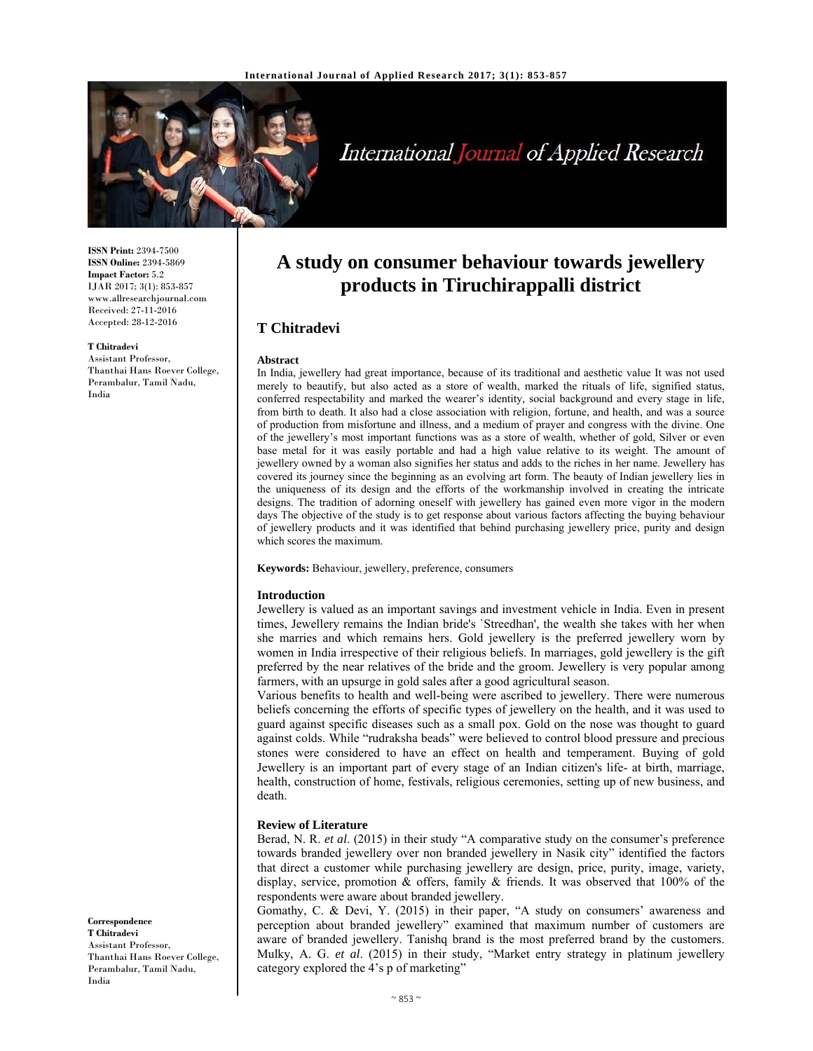

# International Journal of Applied Research

**ISSN Print:** 2394-7500 **ISSN Online:** 2394-5869 **Impact Factor:** 5.2 IJAR 2017; 3(1): 853-857 www.allresearchjournal.com Received: 27-11-2016 Accepted: 28-12-2016

**T Chitradevi** 

Assistant Professor, Thanthai Hans Roever College, Perambalur, Tamil Nadu, India

## **A study on consumer behaviour towards jewellery products in Tiruchirappalli district**

### **T Chitradevi**

#### **Abstract**

In India, jewellery had great importance, because of its traditional and aesthetic value It was not used merely to beautify, but also acted as a store of wealth, marked the rituals of life, signified status, conferred respectability and marked the wearer's identity, social background and every stage in life, from birth to death. It also had a close association with religion, fortune, and health, and was a source of production from misfortune and illness, and a medium of prayer and congress with the divine. One of the jewellery's most important functions was as a store of wealth, whether of gold, Silver or even base metal for it was easily portable and had a high value relative to its weight. The amount of jewellery owned by a woman also signifies her status and adds to the riches in her name. Jewellery has covered its journey since the beginning as an evolving art form. The beauty of Indian jewellery lies in the uniqueness of its design and the efforts of the workmanship involved in creating the intricate designs. The tradition of adorning oneself with jewellery has gained even more vigor in the modern days The objective of the study is to get response about various factors affecting the buying behaviour of jewellery products and it was identified that behind purchasing jewellery price, purity and design which scores the maximum.

**Keywords:** Behaviour, jewellery, preference, consumers

#### **Introduction**

Jewellery is valued as an important savings and investment vehicle in India. Even in present times, Jewellery remains the Indian bride's `Streedhan', the wealth she takes with her when she marries and which remains hers. Gold jewellery is the preferred jewellery worn by women in India irrespective of their religious beliefs. In marriages, gold jewellery is the gift preferred by the near relatives of the bride and the groom. Jewellery is very popular among farmers, with an upsurge in gold sales after a good agricultural season.

Various benefits to health and well-being were ascribed to jewellery. There were numerous beliefs concerning the efforts of specific types of jewellery on the health, and it was used to guard against specific diseases such as a small pox. Gold on the nose was thought to guard against colds. While "rudraksha beads" were believed to control blood pressure and precious stones were considered to have an effect on health and temperament. Buying of gold Jewellery is an important part of every stage of an Indian citizen's life- at birth, marriage, health, construction of home, festivals, religious ceremonies, setting up of new business, and death.

#### **Review of Literature**

Berad, N. R. *et al*. (2015) in their study "A comparative study on the consumer's preference towards branded jewellery over non branded jewellery in Nasik city" identified the factors that direct a customer while purchasing jewellery are design, price, purity, image, variety, display, service, promotion  $\&$  offers, family  $\&$  friends. It was observed that 100% of the respondents were aware about branded jewellery.

Gomathy, C. & Devi, Y. (2015) in their paper, "A study on consumers' awareness and perception about branded jewellery" examined that maximum number of customers are aware of branded jewellery. Tanishq brand is the most preferred brand by the customers. Mulky, A. G. *et al*. (2015) in their study, "Market entry strategy in platinum jewellery category explored the 4's p of marketing"

**Correspondence T Chitradevi**  Assistant Professor, Thanthai Hans Roever College, Perambalur, Tamil Nadu, India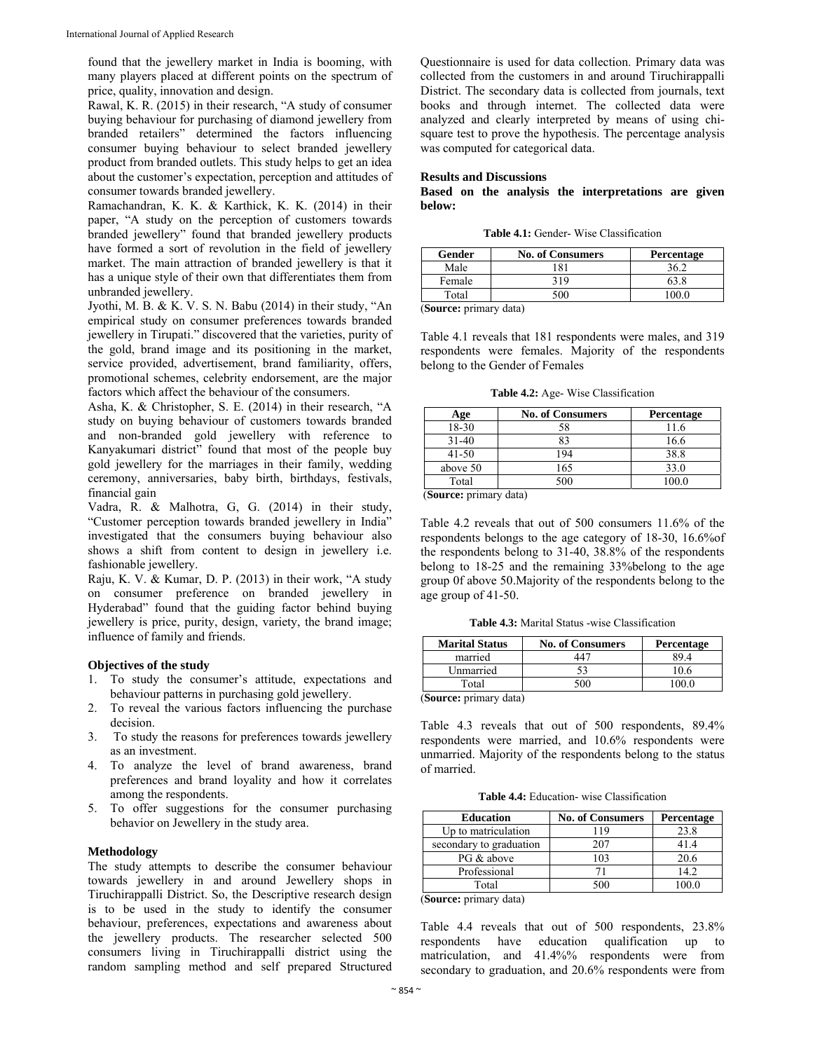found that the jewellery market in India is booming, with many players placed at different points on the spectrum of price, quality, innovation and design.

Rawal, K. R. (2015) in their research, "A study of consumer buying behaviour for purchasing of diamond jewellery from branded retailers" determined the factors influencing consumer buying behaviour to select branded jewellery product from branded outlets. This study helps to get an idea about the customer's expectation, perception and attitudes of consumer towards branded jewellery.

Ramachandran, K. K. & Karthick, K. K. (2014) in their paper, "A study on the perception of customers towards branded jewellery" found that branded jewellery products have formed a sort of revolution in the field of jewellery market. The main attraction of branded jewellery is that it has a unique style of their own that differentiates them from unbranded jewellery.

Jyothi, M. B. & K. V. S. N. Babu (2014) in their study, "An empirical study on consumer preferences towards branded jewellery in Tirupati." discovered that the varieties, purity of the gold, brand image and its positioning in the market, service provided, advertisement, brand familiarity, offers, promotional schemes, celebrity endorsement, are the major factors which affect the behaviour of the consumers.

Asha, K. & Christopher, S. E. (2014) in their research, "A study on buying behaviour of customers towards branded and non-branded gold jewellery with reference to Kanyakumari district" found that most of the people buy gold jewellery for the marriages in their family, wedding ceremony, anniversaries, baby birth, birthdays, festivals, financial gain

Vadra, R. & Malhotra, G, G. (2014) in their study, "Customer perception towards branded jewellery in India" investigated that the consumers buying behaviour also shows a shift from content to design in jewellery i.e. fashionable jewellery.

Raju, K. V. & Kumar, D. P. (2013) in their work, "A study on consumer preference on branded jewellery in Hyderabad" found that the guiding factor behind buying jewellery is price, purity, design, variety, the brand image; influence of family and friends.

#### **Objectives of the study**

- 1. To study the consumer's attitude, expectations and behaviour patterns in purchasing gold jewellery.
- 2. To reveal the various factors influencing the purchase decision.
- 3. To study the reasons for preferences towards jewellery as an investment.
- 4. To analyze the level of brand awareness, brand preferences and brand loyality and how it correlates among the respondents.
- 5. To offer suggestions for the consumer purchasing behavior on Jewellery in the study area.

#### **Methodology**

The study attempts to describe the consumer behaviour towards jewellery in and around Jewellery shops in Tiruchirappalli District. So, the Descriptive research design is to be used in the study to identify the consumer behaviour, preferences, expectations and awareness about the jewellery products. The researcher selected 500 consumers living in Tiruchirappalli district using the random sampling method and self prepared Structured

Questionnaire is used for data collection. Primary data was collected from the customers in and around Tiruchirappalli District. The secondary data is collected from journals, text books and through internet. The collected data were analyzed and clearly interpreted by means of using chisquare test to prove the hypothesis. The percentage analysis was computed for categorical data.

#### **Results and Discussions**

**Based on the analysis the interpretations are given below:** 

**Table 4.1:** Gender- Wise Classification

| Male<br>81<br>Female<br>319 | Gender | <b>No. of Consumers</b> | Percentage |
|-----------------------------|--------|-------------------------|------------|
|                             |        |                         |            |
|                             |        |                         |            |
|                             | Total  |                         |            |

(**Source:** primary data)

Table 4.1 reveals that 181 respondents were males, and 319 respondents were females. Majority of the respondents belong to the Gender of Females

**Table 4.2:** Age- Wise Classification

| Age       | <b>No. of Consumers</b> | <b>Percentage</b> |
|-----------|-------------------------|-------------------|
| 18-30     |                         | 11.6              |
| $31 - 40$ |                         | 16.6              |
| $41 - 50$ | 194                     | 38.8              |
| above 50  | 165                     | 33.0              |
| Total     | 500                     | 100.0             |
| $\sim$    | $\cdots$                |                   |

(**Source:** primary data)

Table 4.2 reveals that out of 500 consumers 11.6% of the respondents belongs to the age category of 18-30, 16.6%of the respondents belong to 31-40, 38.8% of the respondents belong to 18-25 and the remaining 33%belong to the age group 0f above 50.Majority of the respondents belong to the age group of 41-50.

**Table 4.3:** Marital Status -wise Classification

| <b>Marital Status</b>  | <b>No. of Consumers</b> | Percentage |
|------------------------|-------------------------|------------|
| married                | 441                     |            |
| Unmarried              |                         |            |
| Total                  | 500                     | 100.0      |
| (Source: primary data) |                         |            |

(**Source:** primary data)

Table 4.3 reveals that out of 500 respondents, 89.4% respondents were married, and 10.6% respondents were unmarried. Majority of the respondents belong to the status of married.

**Table 4.4:** Education- wise Classification

| <b>Education</b>        | <b>No. of Consumers</b> | Percentage |
|-------------------------|-------------------------|------------|
| Up to matriculation     | 119                     | 23.8       |
| secondary to graduation | 207                     | 41.4       |
| PG & above              | 103                     | 20.6       |
| Professional            |                         | 14.2       |
| Total                   | 500                     | 100.0      |

(**Source:** primary data)

Table 4.4 reveals that out of 500 respondents, 23.8% respondents have education qualification up to matriculation, and 41.4%% respondents were from secondary to graduation, and 20.6% respondents were from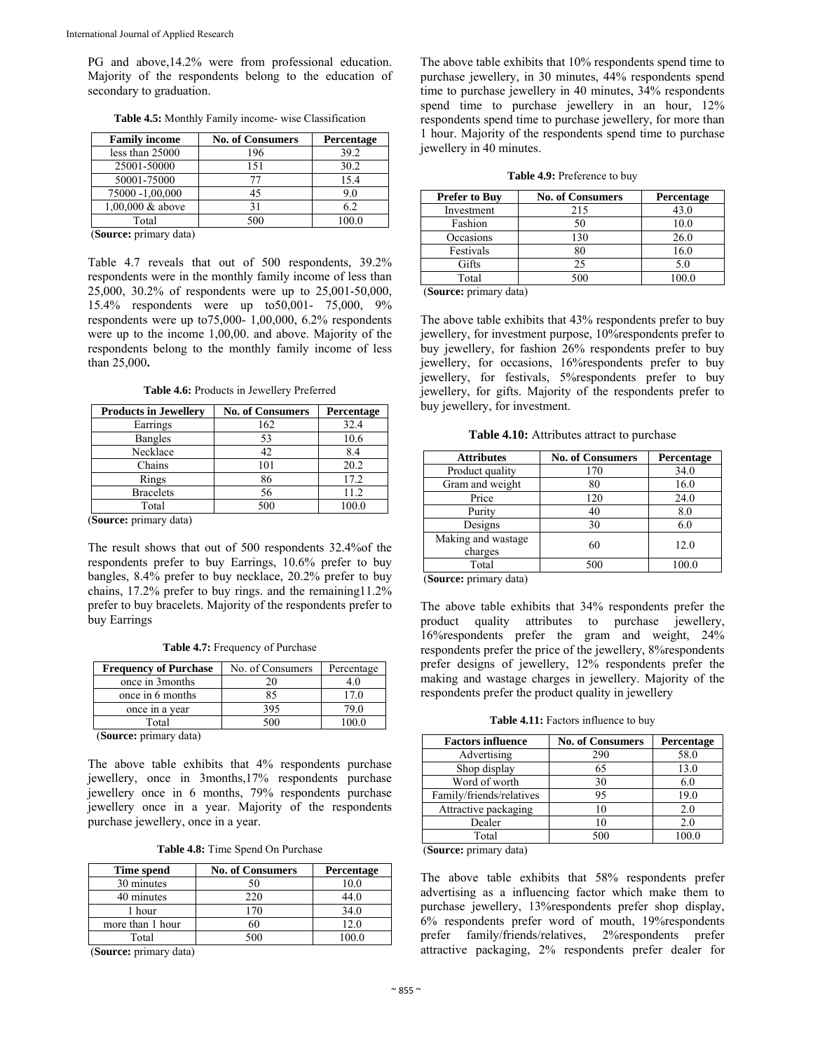PG and above,14.2% were from professional education. Majority of the respondents belong to the education of secondary to graduation.

| <b>Family income</b> | <b>No. of Consumers</b> | Percentage |
|----------------------|-------------------------|------------|
| less than 25000      | 196                     | 39.2       |
| 25001-50000          | 151                     | 30.2       |
| 50001-75000          |                         | 15.4       |
| 75000 -1,00,000      | 45                      | 9.0        |
| $1,00,000$ & above   |                         | 6.2        |
| Total                | 500                     | 100.0      |
| $\sim$               |                         |            |

**Table 4.5:** Monthly Family income- wise Classification

(**Source:** primary data)

Table 4.7 reveals that out of 500 respondents, 39.2% respondents were in the monthly family income of less than 25,000, 30.2% of respondents were up to 25,001-50,000, 15.4% respondents were up to50,001- 75,000, 9% respondents were up to75,000- 1,00,000, 6.2% respondents were up to the income 1,00,00. and above. Majority of the respondents belong to the monthly family income of less than 25,000**.** 

**Table 4.6:** Products in Jewellery Preferred

| <b>Products in Jewellery</b> | <b>No. of Consumers</b> | Percentage |
|------------------------------|-------------------------|------------|
| Earrings                     | 162                     | 32.4       |
| <b>Bangles</b>               | 53                      | 10.6       |
| Necklace                     | 42                      | 8.4        |
| Chains                       | 101                     | 20.2       |
| Rings                        | 86                      | 17.2       |
| <b>Bracelets</b>             | 56                      | 11.2       |
| Total                        | 500                     | 100.0      |

(**Source:** primary data)

The result shows that out of 500 respondents 32.4%of the respondents prefer to buy Earrings, 10.6% prefer to buy bangles, 8.4% prefer to buy necklace, 20.2% prefer to buy chains, 17.2% prefer to buy rings. and the remaining11.2% prefer to buy bracelets. Majority of the respondents prefer to buy Earrings

**Table 4.7:** Frequency of Purchase

| <b>Frequency of Purchase</b> | No. of Consumers | Percentage |
|------------------------------|------------------|------------|
| once in 3 months             | 20               | 4.0        |
| once in 6 months             |                  | 7.0        |
| once in a year               | 395              | 79.0       |
| Total                        | 500              |            |
| <br>$\sim$ $\sim$            |                  |            |

(**Source:** primary data)

The above table exhibits that 4% respondents purchase jewellery, once in 3months,17% respondents purchase jewellery once in 6 months, 79% respondents purchase jewellery once in a year. Majority of the respondents purchase jewellery, once in a year.

**Table 4.8:** Time Spend On Purchase

| Time spend       | <b>No. of Consumers</b> | Percentage |
|------------------|-------------------------|------------|
| 30 minutes       |                         |            |
| 40 minutes       | 220                     | 44 C       |
| 1 hour           |                         | 34.0       |
| more than 1 hour |                         |            |
| Total            |                         |            |

(**Source:** primary data)

The above table exhibits that 10% respondents spend time to purchase jewellery, in 30 minutes, 44% respondents spend time to purchase jewellery in 40 minutes, 34% respondents spend time to purchase jewellery in an hour, 12% respondents spend time to purchase jewellery, for more than 1 hour. Majority of the respondents spend time to purchase jewellery in 40 minutes.

**Table 4.9:** Preference to buy

| <b>Prefer to Buy</b> | <b>No. of Consumers</b> | <b>Percentage</b> |
|----------------------|-------------------------|-------------------|
| Investment           | 215                     | 43.0              |
| Fashion              |                         | 10.0              |
| Occasions            | 130                     | 26.0              |
| Festivals            |                         | 16.0              |
| Gifts                | ን ና                     | 5.0               |
| Total                | 500                     |                   |

(**Source:** primary data)

The above table exhibits that 43% respondents prefer to buy jewellery, for investment purpose, 10%respondents prefer to buy jewellery, for fashion 26% respondents prefer to buy jewellery, for occasions, 16%respondents prefer to buy jewellery, for festivals, 5%respondents prefer to buy jewellery, for gifts. Majority of the respondents prefer to buy jewellery, for investment.

**Table 4.10:** Attributes attract to purchase

| <b>Attributes</b>             | <b>No. of Consumers</b> | Percentage |
|-------------------------------|-------------------------|------------|
| Product quality               | 170                     | 34.0       |
| Gram and weight               | 80                      | 16.0       |
| Price                         | 120                     | 24.0       |
| Purity                        | 40                      | 8.0        |
| Designs                       | 30                      | 6.0        |
| Making and wastage<br>charges | 60                      | 12.0       |
| Total<br>--                   | 500                     | 100.0      |

(**Source:** primary data)

The above table exhibits that 34% respondents prefer the product quality attributes to purchase jewellery, 16%respondents prefer the gram and weight, 24% respondents prefer the price of the jewellery, 8%respondents prefer designs of jewellery, 12% respondents prefer the making and wastage charges in jewellery. Majority of the respondents prefer the product quality in jewellery

Table 4.11: Factors influence to buy

| <b>Factors influence</b> | <b>No. of Consumers</b> | Percentage |
|--------------------------|-------------------------|------------|
| Advertising              | 290                     | 58.0       |
| Shop display             | 65                      | 13.0       |
| Word of worth            | 30                      | 6.0        |
| Family/friends/relatives | 95                      | 19.0       |
| Attractive packaging     | 10                      | 2.0        |
| Dealer                   | 10                      | 2.0        |
| Total                    | 500                     | 100.0      |

(**Source:** primary data)

The above table exhibits that 58% respondents prefer advertising as a influencing factor which make them to purchase jewellery, 13%respondents prefer shop display, 6% respondents prefer word of mouth, 19%respondents prefer family/friends/relatives, 2%respondents prefer attractive packaging, 2% respondents prefer dealer for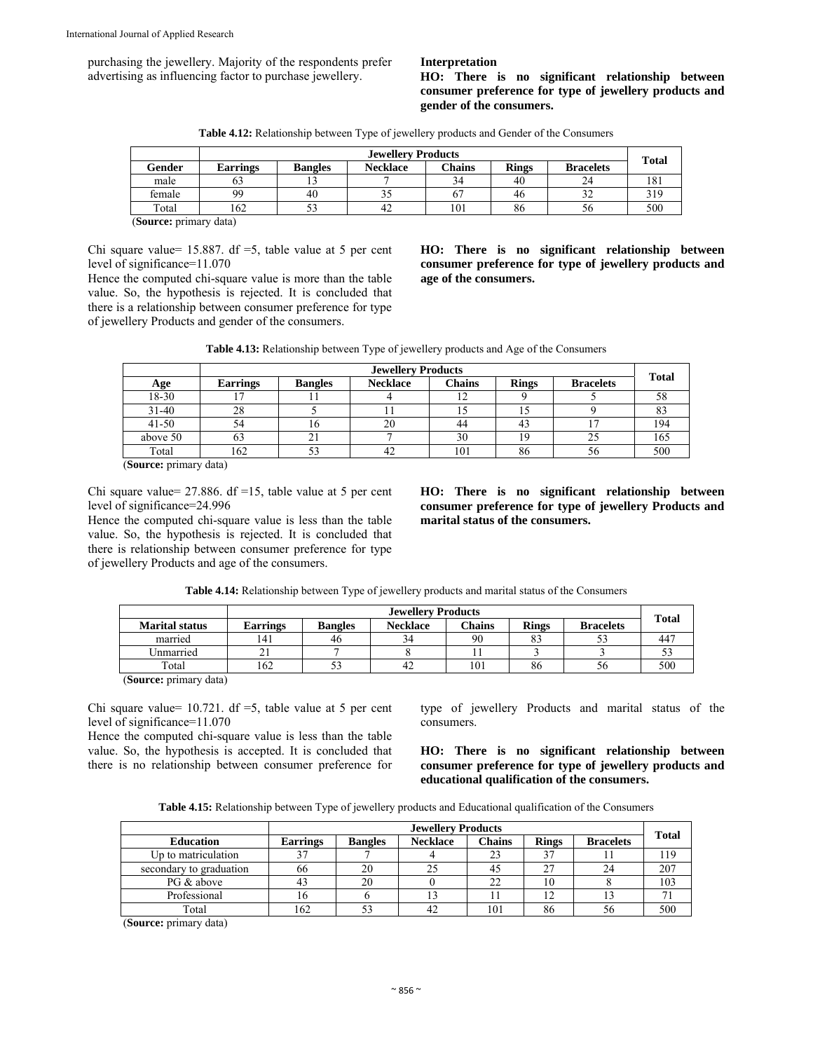purchasing the jewellery. Majority of the respondents prefer advertising as influencing factor to purchase jewellery.

#### **Interpretation**

**HO: There is no significant relationship between consumer preference for type of jewellery products and gender of the consumers.** 

**Table 4.12:** Relationship between Type of jewellery products and Gender of the Consumers

|        | <b>Jewellery Products</b> |                |                 |        | <b>Total</b> |                  |     |
|--------|---------------------------|----------------|-----------------|--------|--------------|------------------|-----|
| Gender | <b>Earrings</b>           | <b>Bangles</b> | <b>Necklace</b> | Chains | <b>Rings</b> | <b>Bracelets</b> |     |
| male   | 63                        |                |                 | 34     | 40           | 24               | 181 |
| female | 99                        | 40             | эJ              | 67     | 46           | ے د              | 319 |
| Total  | 162                       | ر ر            | 42              | 101    | 86           | Эb               | 500 |
| $\sim$ | $\cdots$                  |                |                 |        |              |                  |     |

(**Source:** primary data)

Chi square value=  $15.887$ . df =5, table value at 5 per cent level of significance=11.070

Hence the computed chi-square value is more than the table value. So, the hypothesis is rejected. It is concluded that there is a relationship between consumer preference for type of jewellery Products and gender of the consumers.

**HO: There is no significant relationship between consumer preference for type of jewellery products and age of the consumers.** 

**Table 4.13:** Relationship between Type of jewellery products and Age of the Consumers

|           | <b>Jewellery Products</b> |                |                 |               |              |                  |              |
|-----------|---------------------------|----------------|-----------------|---------------|--------------|------------------|--------------|
| Age       | <b>Earrings</b>           | <b>Bangles</b> | <b>Necklace</b> | <b>Chains</b> | <b>Rings</b> | <b>Bracelets</b> | <b>Total</b> |
| 18-30     |                           |                |                 |               |              |                  | 58           |
| $31 - 40$ | 28                        |                |                 |               |              |                  |              |
| $41 - 50$ | 54                        |                | 20              | 44            |              |                  | 194          |
| above 50  | 63                        |                |                 | 30            | 19           | 25               | 165          |
| Total     | 162                       |                |                 | 101           | 86           | 56               | 500          |

(**Source:** primary data)

Chi square value= 27.886. df =15, table value at 5 per cent level of significance=24.996

Hence the computed chi-square value is less than the table value. So, the hypothesis is rejected. It is concluded that there is relationship between consumer preference for type of jewellery Products and age of the consumers.

**HO: There is no significant relationship between consumer preference for type of jewellery Products and marital status of the consumers.** 

|                       | <b>Jewellery Products</b> |                |                 |               |              |                  |              |
|-----------------------|---------------------------|----------------|-----------------|---------------|--------------|------------------|--------------|
| <b>Marital status</b> | Earrings                  | <b>Bangles</b> | <b>Necklace</b> | <b>Chains</b> | <b>Rings</b> | <b>Bracelets</b> | <b>Total</b> |
| married               | 141                       | 46             | 34              | 90            | 83           |                  |              |
| Unmarried             |                           |                |                 |               |              |                  |              |
| Total                 | 162                       |                |                 | 101           | 86           | .30              | 500          |
| $\sim$<br>$\sim$      |                           |                |                 |               |              |                  |              |

**Table 4.14:** Relationship between Type of jewellery products and marital status of the Consumers

(**Source:** primary data)

Chi square value=  $10.721$ . df =5, table value at 5 per cent level of significance=11.070

Hence the computed chi-square value is less than the table value. So, the hypothesis is accepted. It is concluded that there is no relationship between consumer preference for type of jewellery Products and marital status of the consumers.

**HO: There is no significant relationship between consumer preference for type of jewellery products and educational qualification of the consumers.** 

**Table 4.15:** Relationship between Type of jewellery products and Educational qualification of the Consumers

|                         | <b>Jewellery Products</b> |                |                 |               |              |                  |              |
|-------------------------|---------------------------|----------------|-----------------|---------------|--------------|------------------|--------------|
| <b>Education</b>        | <b>Earrings</b>           | <b>Bangles</b> | <b>Necklace</b> | <b>Chains</b> | <b>Rings</b> | <b>Bracelets</b> | <b>Total</b> |
| Up to matriculation     |                           |                |                 | 23            |              |                  | 119          |
| secondary to graduation | 66                        | 20             |                 | 40            | 27           | 24               | 207          |
| PG & above              |                           | 20             |                 | 22            | 10           |                  | 103          |
| Professional            | 16                        |                |                 |               | 1 ^          |                  |              |
| Total                   | 162                       | 53             | 42              | 101           | 86           | 56               | 500          |

(**Source:** primary data)